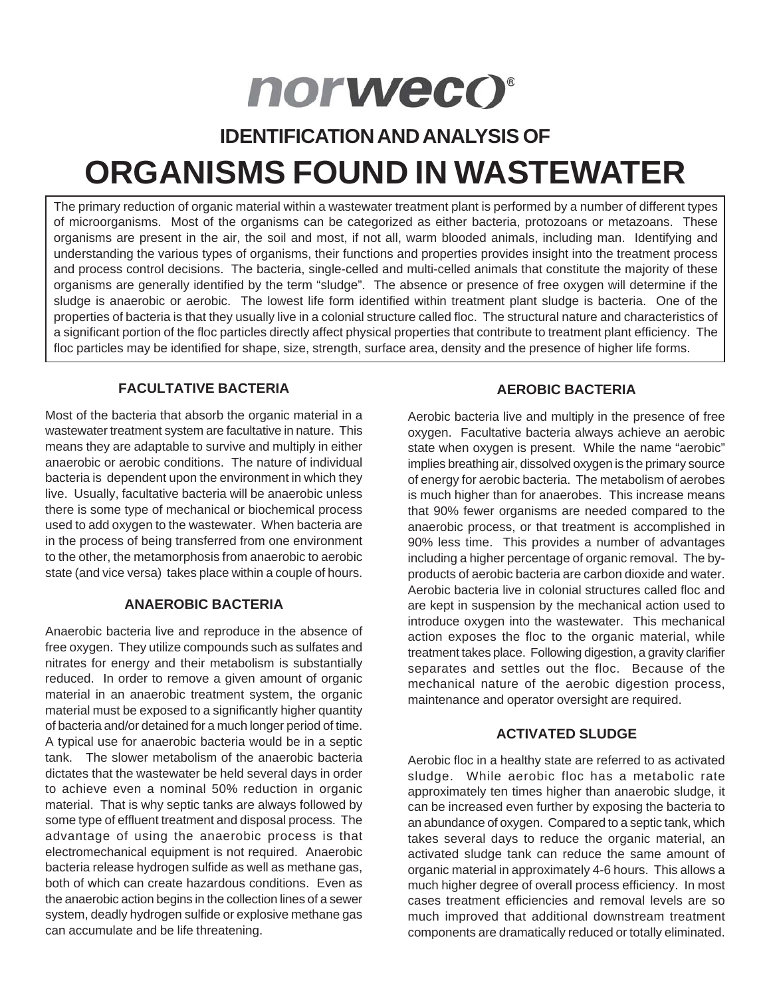# norweco®

### **IDENTIFICATION AND ANALYSIS OF**

## **ORGANISMS FOUND IN WASTEWATER**

The primary reduction of organic material within a wastewater treatment plant is performed by a number of different types of microorganisms. Most of the organisms can be categorized as either bacteria, protozoans or metazoans. These organisms are present in the air, the soil and most, if not all, warm blooded animals, including man. Identifying and understanding the various types of organisms, their functions and properties provides insight into the treatment process and process control decisions. The bacteria, single-celled and multi-celled animals that constitute the majority of these organisms are generally identified by the term "sludge". The absence or presence of free oxygen will determine if the sludge is anaerobic or aerobic. The lowest life form identified within treatment plant sludge is bacteria. One of the properties of bacteria is that they usually live in a colonial structure called floc. The structural nature and characteristics of a significant portion of the floc particles directly affect physical properties that contribute to treatment plant efficiency. The floc particles may be identified for shape, size, strength, surface area, density and the presence of higher life forms.

#### **FACULTATIVE BACTERIA**

Most of the bacteria that absorb the organic material in a wastewater treatment system are facultative in nature. This means they are adaptable to survive and multiply in either anaerobic or aerobic conditions. The nature of individual bacteria is dependent upon the environment in which they live. Usually, facultative bacteria will be anaerobic unless there is some type of mechanical or biochemical process used to add oxygen to the wastewater. When bacteria are in the process of being transferred from one environment to the other, the metamorphosis from anaerobic to aerobic state (and vice versa) takes place within a couple of hours.

#### **ANAEROBIC BACTERIA**

Anaerobic bacteria live and reproduce in the absence of free oxygen. They utilize compounds such as sulfates and nitrates for energy and their metabolism is substantially reduced. In order to remove a given amount of organic material in an anaerobic treatment system, the organic material must be exposed to a significantly higher quantity of bacteria and/or detained for a much longer period of time. A typical use for anaerobic bacteria would be in a septic tank. The slower metabolism of the anaerobic bacteria dictates that the wastewater be held several days in order to achieve even a nominal 50% reduction in organic material. That is why septic tanks are always followed by some type of effluent treatment and disposal process. The advantage of using the anaerobic process is that electromechanical equipment is not required. Anaerobic bacteria release hydrogen sulfide as well as methane gas, both of which can create hazardous conditions. Even as the anaerobic action begins in the collection lines of a sewer system, deadly hydrogen sulfide or explosive methane gas can accumulate and be life threatening.

#### **AEROBIC BACTERIA**

Aerobic bacteria live and multiply in the presence of free oxygen. Facultative bacteria always achieve an aerobic state when oxygen is present. While the name "aerobic" implies breathing air, dissolved oxygen is the primary source of energy for aerobic bacteria. The metabolism of aerobes is much higher than for anaerobes. This increase means that 90% fewer organisms are needed compared to the anaerobic process, or that treatment is accomplished in 90% less time. This provides a number of advantages including a higher percentage of organic removal. The byproducts of aerobic bacteria are carbon dioxide and water. Aerobic bacteria live in colonial structures called floc and are kept in suspension by the mechanical action used to introduce oxygen into the wastewater. This mechanical action exposes the floc to the organic material, while treatment takes place. Following digestion, a gravity clarifier separates and settles out the floc. Because of the mechanical nature of the aerobic digestion process, maintenance and operator oversight are required.

#### **ACTIVATED SLUDGE**

Aerobic floc in a healthy state are referred to as activated sludge. While aerobic floc has a metabolic rate approximately ten times higher than anaerobic sludge, it can be increased even further by exposing the bacteria to an abundance of oxygen. Compared to a septic tank, which takes several days to reduce the organic material, an activated sludge tank can reduce the same amount of organic material in approximately 4-6 hours. This allows a much higher degree of overall process efficiency. In most cases treatment efficiencies and removal levels are so much improved that additional downstream treatment components are dramatically reduced or totally eliminated.